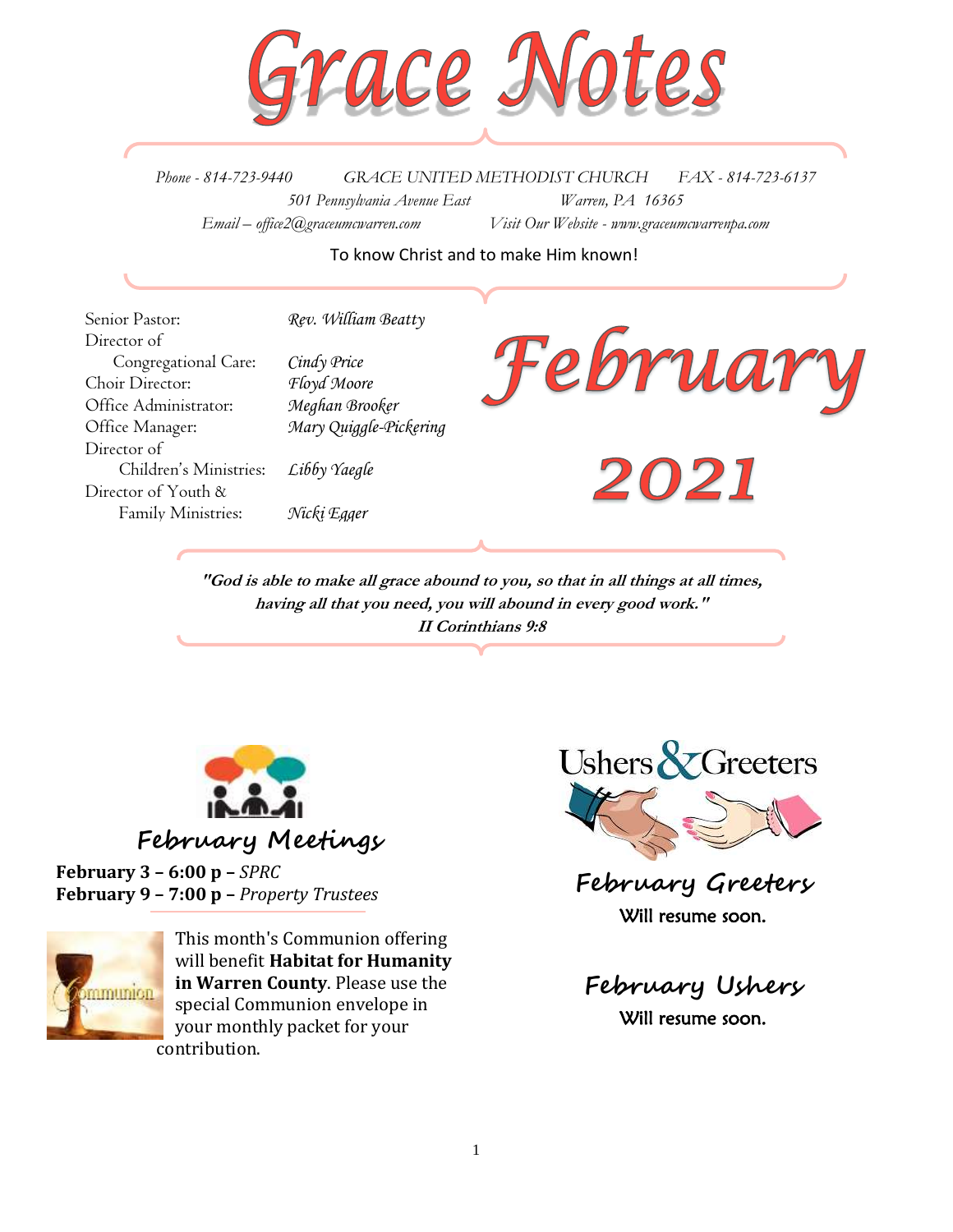

*Phone - 814-723-9440 GRACE UNITED METHODIST CHURCH FAX - 814-723-6137 501 Pennsylvania Avenue East Warren, PA 16365 Email – office2@graceumcwarren.com Visit Our Website - www.graceumcwarrenpa.com* 

### To know Christ and to make Him known!

Senior Pastor: *Rev. William Beatty* Director of Congregational Care: *Cindy Price* Choir Director: *Floyd Moore* Office Administrator: *Meghan Brooker* Office Manager: *Mary Quiggle-Pickering* Director of Children's Ministries: *Libby Yaegle* Director of Youth & Family Ministries: *Nicki Egger*



**"God is able to make all grace abound to you, so that in all things at all times, having all that you need, you will abound in every good work." II Corinthians 9:8**



**February Meetings**

**February 3 – 6:00 p –** *SPRC* **February 9 – 7:00 p –** *Property Trustees*



This month's Communion offering will benefit **Habitat for Humanity in Warren County**. Please use the special Communion envelope in your monthly packet for your contribution.



**February Greeters** Will resume soon.

**February Ushers** Will resume soon.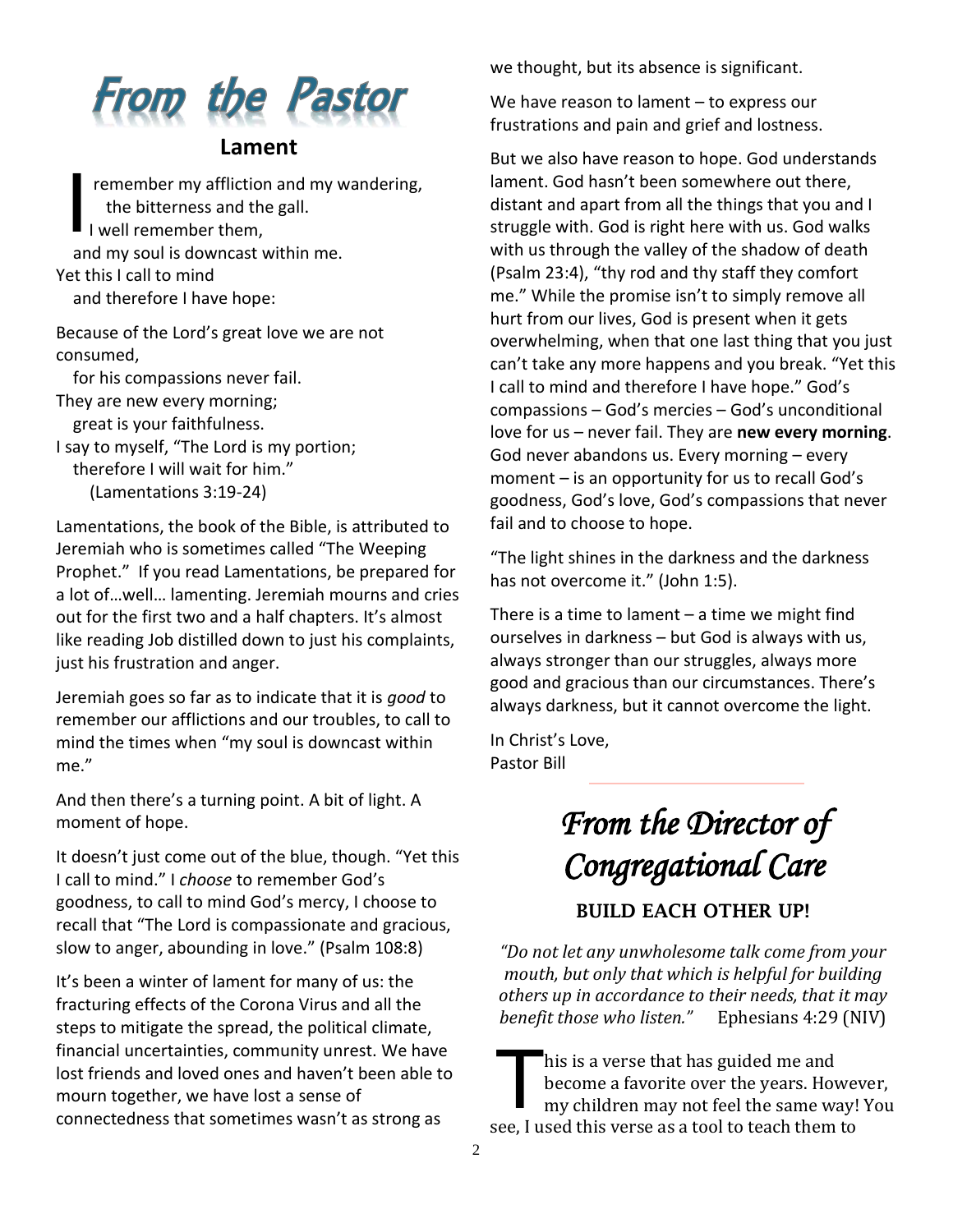

### **Lament**

remember my affliction and my wandering, the bitterness and the gall. I well remember them, and my soul is downcast within me. Yet this I call to mind and therefore I have hope: I

Because of the Lord's great love we are not consumed,

for his compassions never fail.

They are new every morning; great is your faithfulness.

I say to myself, "The Lord is my portion; therefore I will wait for him." (Lamentations 3:19-24)

Lamentations, the book of the Bible, is attributed to Jeremiah who is sometimes called "The Weeping Prophet." If you read Lamentations, be prepared for a lot of…well… lamenting. Jeremiah mourns and cries out for the first two and a half chapters. It's almost like reading Job distilled down to just his complaints, just his frustration and anger.

Jeremiah goes so far as to indicate that it is *good* to remember our afflictions and our troubles, to call to mind the times when "my soul is downcast within me."

And then there's a turning point. A bit of light. A moment of hope.

It doesn't just come out of the blue, though. "Yet this I call to mind." I *choose* to remember God's goodness, to call to mind God's mercy, I choose to recall that "The Lord is compassionate and gracious, slow to anger, abounding in love." (Psalm 108:8)

It's been a winter of lament for many of us: the fracturing effects of the Corona Virus and all the steps to mitigate the spread, the political climate, financial uncertainties, community unrest. We have lost friends and loved ones and haven't been able to mourn together, we have lost a sense of connectedness that sometimes wasn't as strong as

we thought, but its absence is significant.

We have reason to lament – to express our frustrations and pain and grief and lostness.

But we also have reason to hope. God understands lament. God hasn't been somewhere out there, distant and apart from all the things that you and I struggle with. God is right here with us. God walks with us through the valley of the shadow of death (Psalm 23:4), "thy rod and thy staff they comfort me." While the promise isn't to simply remove all hurt from our lives, God is present when it gets overwhelming, when that one last thing that you just can't take any more happens and you break. "Yet this I call to mind and therefore I have hope." God's compassions – God's mercies – God's unconditional love for us – never fail. They are **new every morning**. God never abandons us. Every morning – every moment – is an opportunity for us to recall God's goodness, God's love, God's compassions that never fail and to choose to hope.

"The light shines in the darkness and the darkness has not overcome it." (John 1:5).

There is a time to lament  $-$  a time we might find ourselves in darkness – but God is always with us, always stronger than our struggles, always more good and gracious than our circumstances. There's always darkness, but it cannot overcome the light.

In Christ's Love, Pastor Bill

# *From the Director of Congregational Care*

BUILD EACH OTHER UP!

*"Do not let any unwholesome talk come from your mouth, but only that which is helpful for building others up in accordance to their needs, that it may benefit those who listen."* Ephesians 4:29 (NIV)

his is a verse that has guided me and become a favorite over the years. However, my children may not feel the same way! You see, I used this verse as a tool to teach them to T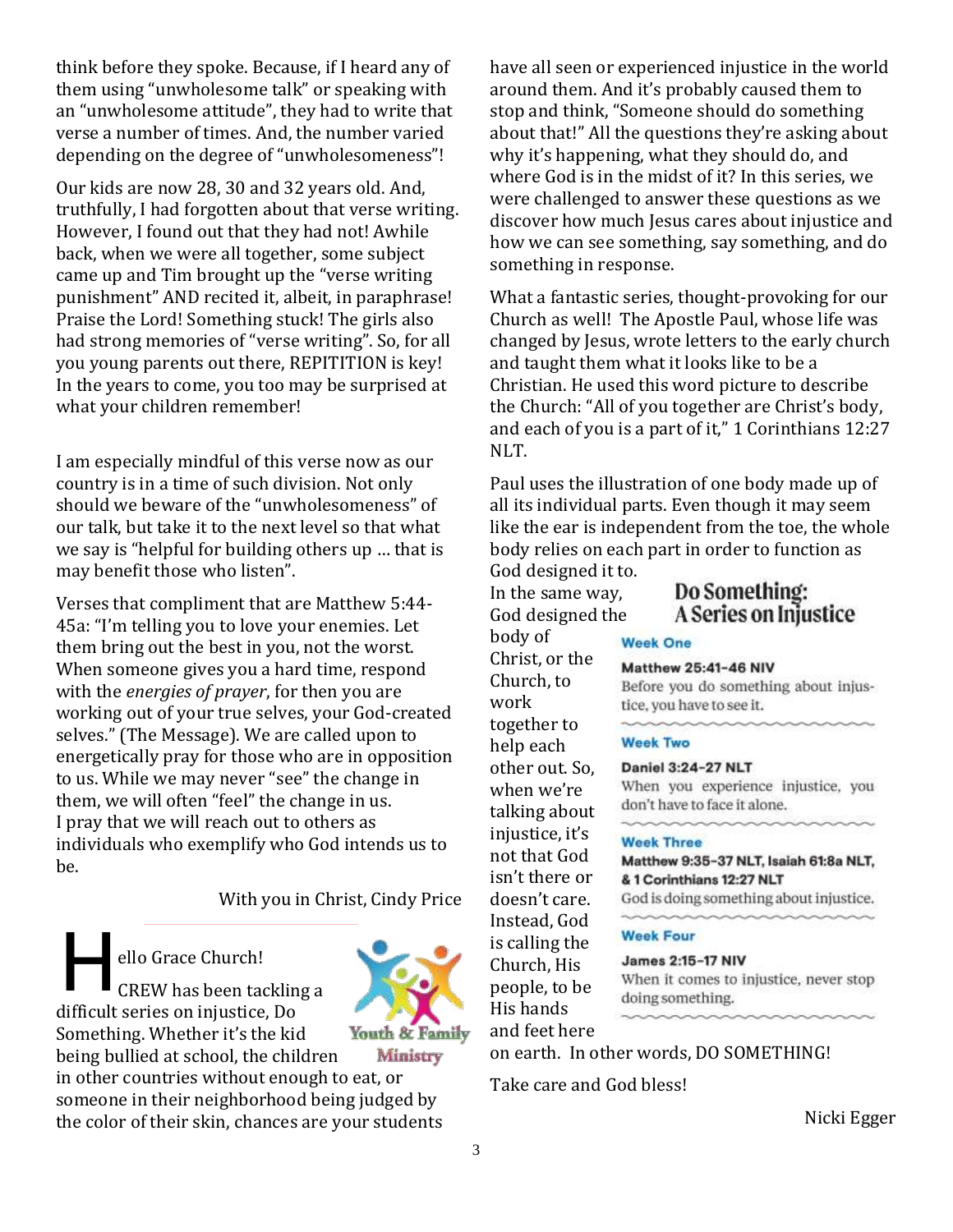think before they spoke. Because, if I heard any of them using "unwholesome talk" or speaking with an "unwholesome attitude", they had to write that verse a number of times. And, the number varied depending on the degree of "unwholesomeness"!

Our kids are now 28, 30 and 32 years old. And, truthfully, I had forgotten about that verse writing. However, I found out that they had not! Awhile back, when we were all together, some subject came up and Tim brought up the "verse writing punishment" AND recited it, albeit, in paraphrase! Praise the Lord! Something stuck! The girls also had strong memories of "verse writing". So, for all you young parents out there, REPITITION is key! In the years to come, you too may be surprised at what your children remember!

I am especially mindful of this verse now as our country is in a time of such division. Not only should we beware of the "unwholesomeness" of our talk, but take it to the next level so that what we say is "helpful for building others up … that is may benefit those who listen".

Verses that compliment that are Matthew 5:44- 45a: "I'm telling you to love your enemies. Let them bring out the best in you, not the worst. When someone gives you a hard time, respond with the *energies of prayer*, for then you are working out of your true selves, your God-created selves." (The Message). We are called upon to energetically pray for those who are in opposition to us. While we may never "see" the change in them, we will often "feel" the change in us. I pray that we will reach out to others as individuals who exemplify who God intends us to be.

### With you in Christ, Cindy Price

ello Grace Church!

CREW has been tackling a difficult series on injustice, Do Something. Whether it's the kid H



Ministry

being bullied at school, the children in other countries without enough to eat, or someone in their neighborhood being judged by the color of their skin, chances are your students have all seen or experienced injustice in the world around them. And it's probably caused them to stop and think, "Someone should do something about that!" All the questions they're asking about why it's happening, what they should do, and where God is in the midst of it? In this series, we were challenged to answer these questions as we discover how much Jesus cares about injustice and how we can see something, say something, and do something in response.

What a fantastic series, thought-provoking for our Church as well! The Apostle Paul, whose life was changed by Jesus, wrote letters to the early church and taught them what it looks like to be a Christian. He used this word picture to describe the Church: "All of you together are Christ's body, and each of you is a part of it," 1 Corinthians 12:27 NLT.

Paul uses the illustration of one body made up of all its individual parts. Even though it may seem like the ear is independent from the toe, the whole body relies on each part in order to function as

God designed it to. In the same way, God designed the body of Christ, or the Church, to work together to help each other out. So, when we're talking about injustice, it's not that God isn't there or doesn't care. Instead, God is calling the Church, His people, to be His hands and feet here

# Do Something: A Series on Injustice

#### **Week One**

#### **Matthew 25:41-46 NIV**

Before you do something about injustice, you have to see it.

#### **Week Two**

#### Daniel 3:24-27 NLT

When you experience injustice, you don't have to face it alone.

#### **Week Three**

Matthew 9:35-37 NLT, Isaiah 61:8a NLT, & 1 Corinthians 12:27 NLT

God is doing something about injustice.

#### **Week Four**

James 2:15-17 NIV When it comes to injustice, never stop doing something.

on earth. In other words, DO SOMETHING!

Take care and God bless!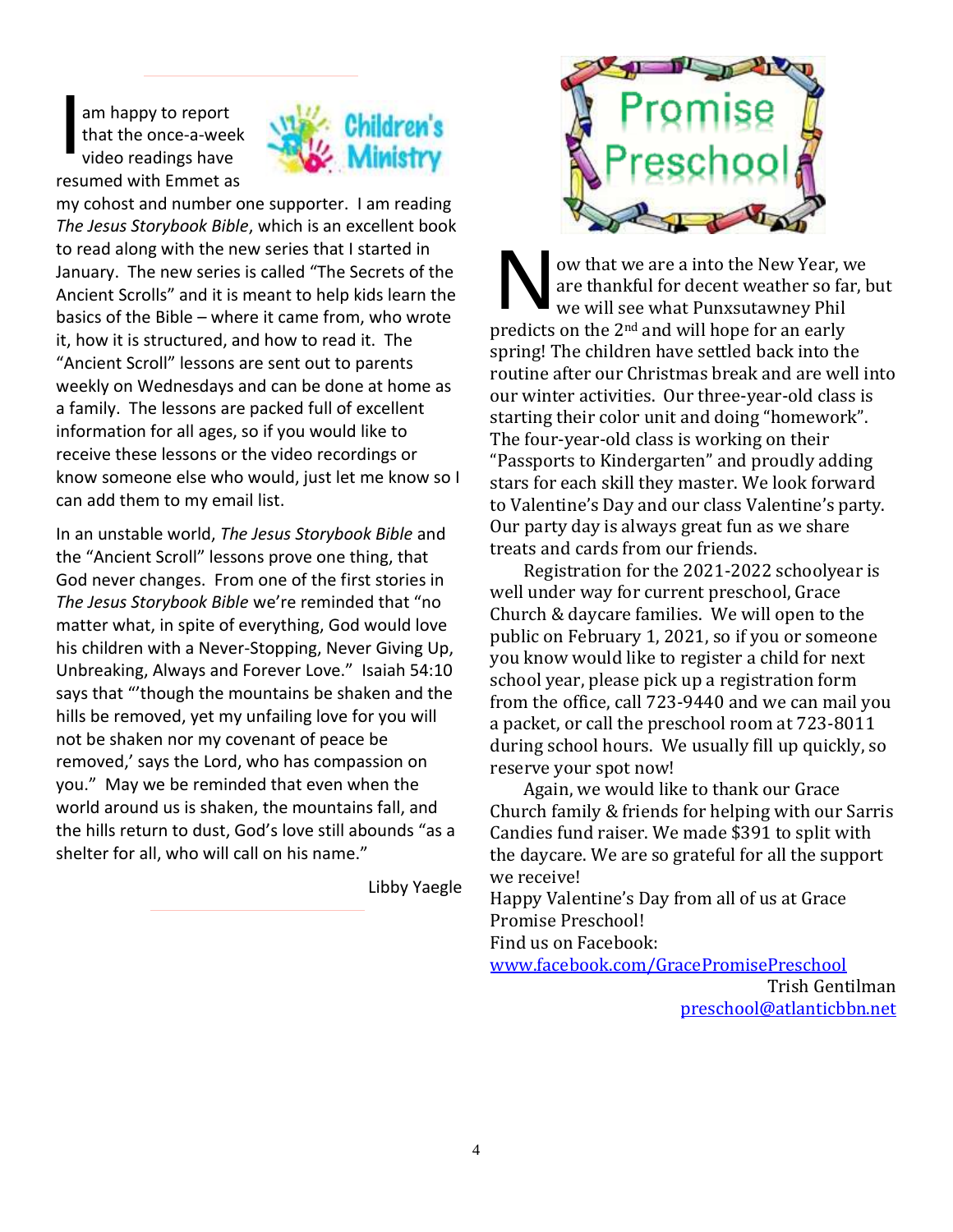am happy to report that the once-a-week video readings have resumed with Emmet as I



my cohost and number one supporter. I am reading *The Jesus Storybook Bible*, which is an excellent book to read along with the new series that I started in January. The new series is called "The Secrets of the Ancient Scrolls" and it is meant to help kids learn the basics of the Bible – where it came from, who wrote it, how it is structured, and how to read it. The "Ancient Scroll" lessons are sent out to parents weekly on Wednesdays and can be done at home as a family. The lessons are packed full of excellent information for all ages, so if you would like to receive these lessons or the video recordings or know someone else who would, just let me know so I can add them to my email list.

In an unstable world, *The Jesus Storybook Bible* and the "Ancient Scroll" lessons prove one thing, that God never changes. From one of the first stories in *The Jesus Storybook Bible* we're reminded that "no matter what, in spite of everything, God would love his children with a Never-Stopping, Never Giving Up, Unbreaking, Always and Forever Love." Isaiah 54:10 says that "'though the mountains be shaken and the hills be removed, yet my unfailing love for you will not be shaken nor my covenant of peace be removed,' says the Lord, who has compassion on you." May we be reminded that even when the world around us is shaken, the mountains fall, and the hills return to dust, God's love still abounds "as a shelter for all, who will call on his name."

Libby Yaegle



ow that we are a into the New Year, we are thankful for decent weather so far, but we will see what Punxsutawney Phil predicts on the 2nd and will hope for an early spring! The children have settled back into the routine after our Christmas break and are well into our winter activities. Our three-year-old class is starting their color unit and doing "homework". The four-year-old class is working on their "Passports to Kindergarten" and proudly adding stars for each skill they master. We look forward to Valentine's Day and our class Valentine's party. Our party day is always great fun as we share treats and cards from our friends. N

Registration for the 2021-2022 schoolyear is well under way for current preschool, Grace Church & daycare families. We will open to the public on February 1, 2021, so if you or someone you know would like to register a child for next school year, please pick up a registration form from the office, call 723-9440 and we can mail you a packet, or call the preschool room at 723-8011 during school hours. We usually fill up quickly, so reserve your spot now!

Again, we would like to thank our Grace Church family & friends for helping with our Sarris Candies fund raiser. We made \$391 to split with the daycare. We are so grateful for all the support we receive!

Happy Valentine's Day from all of us at Grace Promise Preschool!

Find us on Facebook:

[www.facebook.com/GracePromisePreschool](http://www.facebook.com/GracePromisePreschool)

Trish Gentilman [preschool@atlanticbbn.net](mailto:preschool@atlanticbbn.net)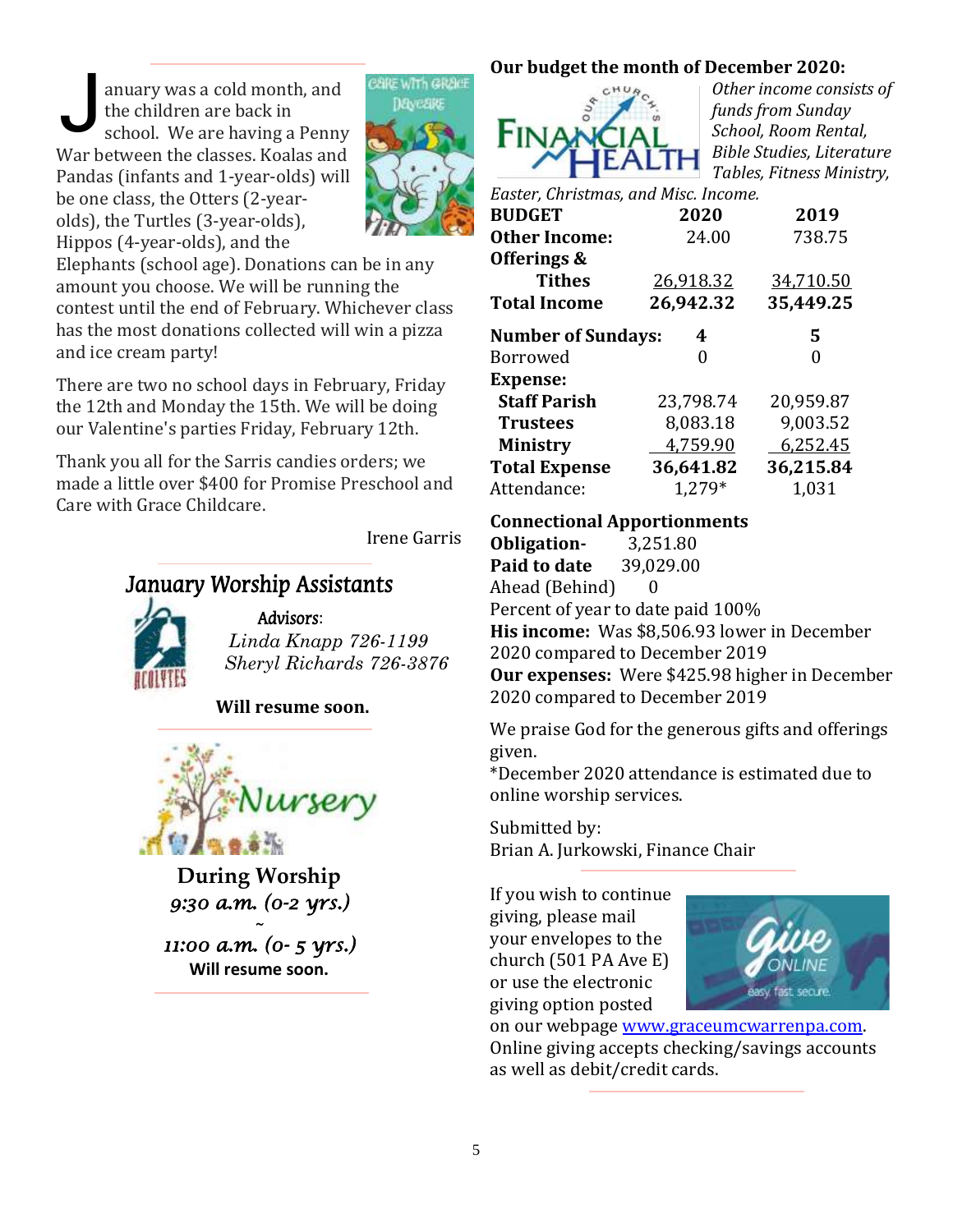anuary was a cold month, and the children are back in school. We are having a Penny War between the classes. Koalas and Pandas (infants and 1-year-olds) will be one class, the Otters (2-yearolds), the Turtles (3-year-olds), Hippos (4-year-olds), and the J



Elephants (school age). Donations can be in any amount you choose. We will be running the contest until the end of February. Whichever class has the most donations collected will win a pizza and ice cream party!

There are two no school days in February, Friday the 12th and Monday the 15th. We will be doing our Valentine's parties Friday, February 12th.

Thank you all for the Sarris candies orders; we made a little over \$400 for Promise Preschool and Care with Grace Childcare.

Irene Garris

# January Worship Assistants



Advisors: *Linda Knapp 726-1199 Sheryl Richards 726-3876*

**Will resume soon.**



**During Worship** *9:30 a.m. (0-2 yrs.) ~* 

*11:00 a.m. (0- 5 yrs.)*  **Will resume soon.**

# **Our budget the month of December 2020:**



*Other income consists of funds from Sunday School, Room Rental, Bible Studies, Literature Tables, Fitness Ministry,* 

| Easter, Christmas, and Misc. Income. |           |           |  |  |
|--------------------------------------|-----------|-----------|--|--|
| <b>BUDGET</b>                        | 2020      | 2019      |  |  |
| <b>Other Income:</b>                 | 24.00     | 738.75    |  |  |
| Offerings &                          |           |           |  |  |
| <b>Tithes</b>                        | 26,918.32 | 34,710.50 |  |  |
| <b>Total Income</b>                  | 26,942.32 | 35,449.25 |  |  |
| <b>Number of Sundays:</b>            | 4         | 5         |  |  |
| <b>Borrowed</b>                      | 0         | 0         |  |  |
| <b>Expense:</b>                      |           |           |  |  |
| <b>Staff Parish</b>                  | 23,798.74 | 20,959.87 |  |  |
| <b>Trustees</b>                      | 8,083.18  | 9,003.52  |  |  |
| <b>Ministry</b>                      | 4,759.90  | 6,252.45  |  |  |
| <b>Total Expense</b>                 | 36,641.82 | 36,215.84 |  |  |
| Attendance:                          | 1.279*    | 1,031     |  |  |

## **Connectional Apportionments**

**Obligation-** 3,251.80 **Paid to date** 39,029.00 Ahead (Behind) 0 Percent of year to date paid 100% **His income:** Was \$8,506.93 lower in December 2020 compared to December 2019 **Our expenses:** Were \$425.98 higher in December 2020 compared to December 2019

We praise God for the generous gifts and offerings given.

\*December 2020 attendance is estimated due to online worship services.

Submitted by: Brian A. Jurkowski, Finance Chair

If you wish to continue giving, please mail your envelopes to the church (501 PA Ave E) or use the electronic giving option posted



on our webpage [www.graceumcwarrenpa.com.](http://www.graceumcwarrenpa.com/) Online giving accepts checking/savings accounts as well as debit/credit cards.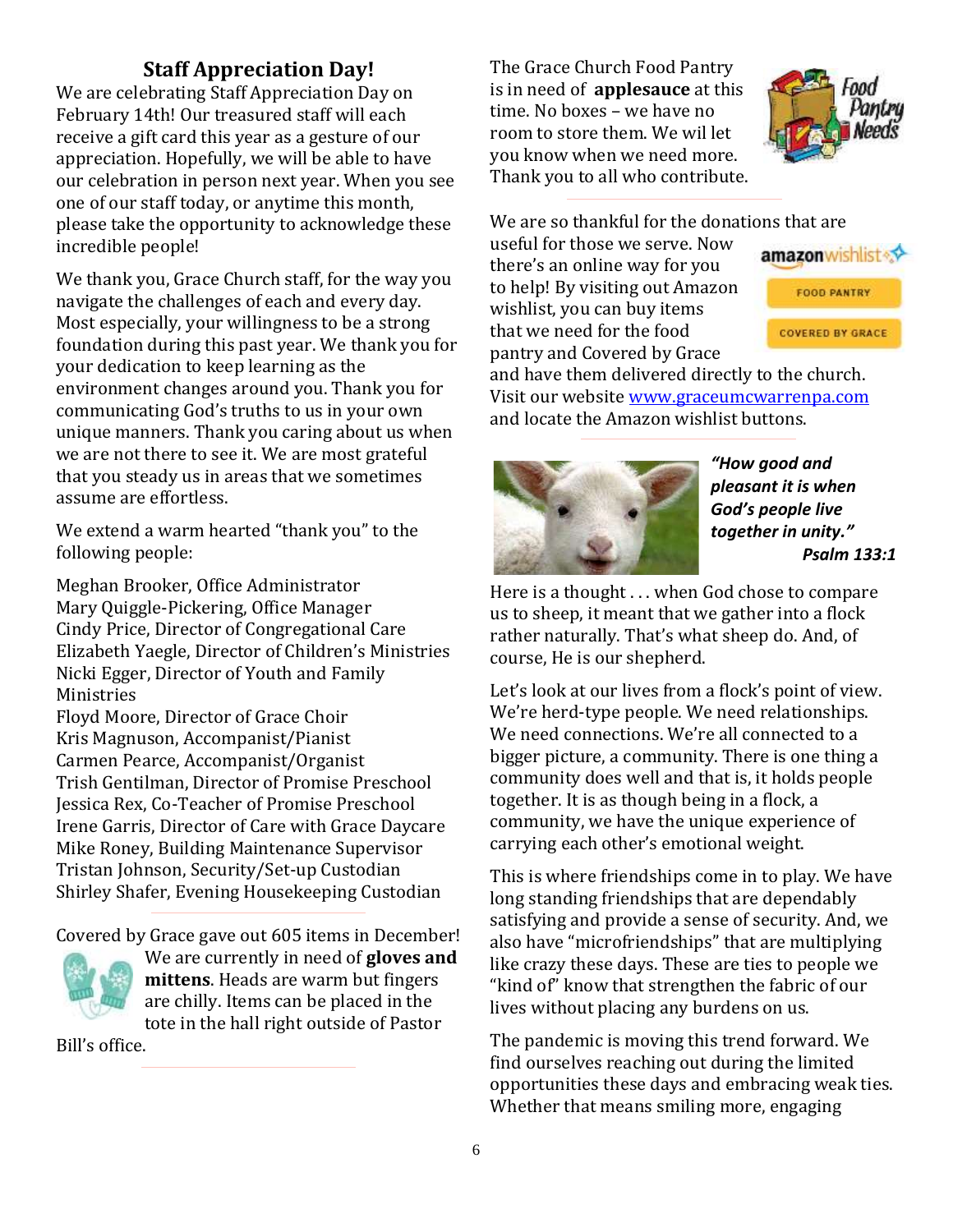# **Staff Appreciation Day!**

We are celebrating Staff Appreciation Day on February 14th! Our treasured staff will each receive a gift card this year as a gesture of our appreciation. Hopefully, we will be able to have our celebration in person next year. When you see one of our staff today, or anytime this month, please take the opportunity to acknowledge these incredible people!

We thank you, Grace Church staff, for the way you navigate the challenges of each and every day. Most especially, your willingness to be a strong foundation during this past year. We thank you for your dedication to keep learning as the environment changes around you. Thank you for communicating God's truths to us in your own unique manners. Thank you caring about us when we are not there to see it. We are most grateful that you steady us in areas that we sometimes assume are effortless.

We extend a warm hearted "thank you" to the following people:

Meghan Brooker, Office Administrator Mary Quiggle-Pickering, Office Manager Cindy Price, Director of Congregational Care Elizabeth Yaegle, Director of Children's Ministries Nicki Egger, Director of Youth and Family Ministries

Floyd Moore, Director of Grace Choir Kris Magnuson, Accompanist/Pianist Carmen Pearce, Accompanist/Organist Trish Gentilman, Director of Promise Preschool Jessica Rex, Co-Teacher of Promise Preschool Irene Garris, Director of Care with Grace Daycare Mike Roney, Building Maintenance Supervisor Tristan Johnson, Security/Set-up Custodian Shirley Shafer, Evening Housekeeping Custodian

Covered by Grace gave out 605 items in December!



We are currently in need of **gloves and mittens**. Heads are warm but fingers are chilly. Items can be placed in the tote in the hall right outside of Pastor

Bill's office.

The Grace Church Food Pantry is in need of **applesauce** at this time. No boxes – we have no room to store them. We wil let you know when we need more. Thank you to all who contribute.



We are so thankful for the donations that are

useful for those we serve. Now there's an online way for you to help! By visiting out Amazon wishlist, you can buy items that we need for the food pantry and Covered by Grace



and have them delivered directly to the church. Visit our website [www.graceumcwarrenpa.com](http://www.graceumcwarrenpa.com/) and locate the Amazon wishlist buttons.



*"How good and pleasant it is when God's people live together in unity." Psalm 133:1*

Here is a thought . . . when God chose to compare us to sheep, it meant that we gather into a flock rather naturally. That's what sheep do. And, of course, He is our shepherd.

Let's look at our lives from a flock's point of view. We're herd-type people. We need relationships. We need connections. We're all connected to a bigger picture, a community. There is one thing a community does well and that is, it holds people together. It is as though being in a flock, a community, we have the unique experience of carrying each other's emotional weight.

This is where friendships come in to play. We have long standing friendships that are dependably satisfying and provide a sense of security. And, we also have "microfriendships" that are multiplying like crazy these days. These are ties to people we "kind of" know that strengthen the fabric of our lives without placing any burdens on us.

The pandemic is moving this trend forward. We find ourselves reaching out during the limited opportunities these days and embracing weak ties. Whether that means smiling more, engaging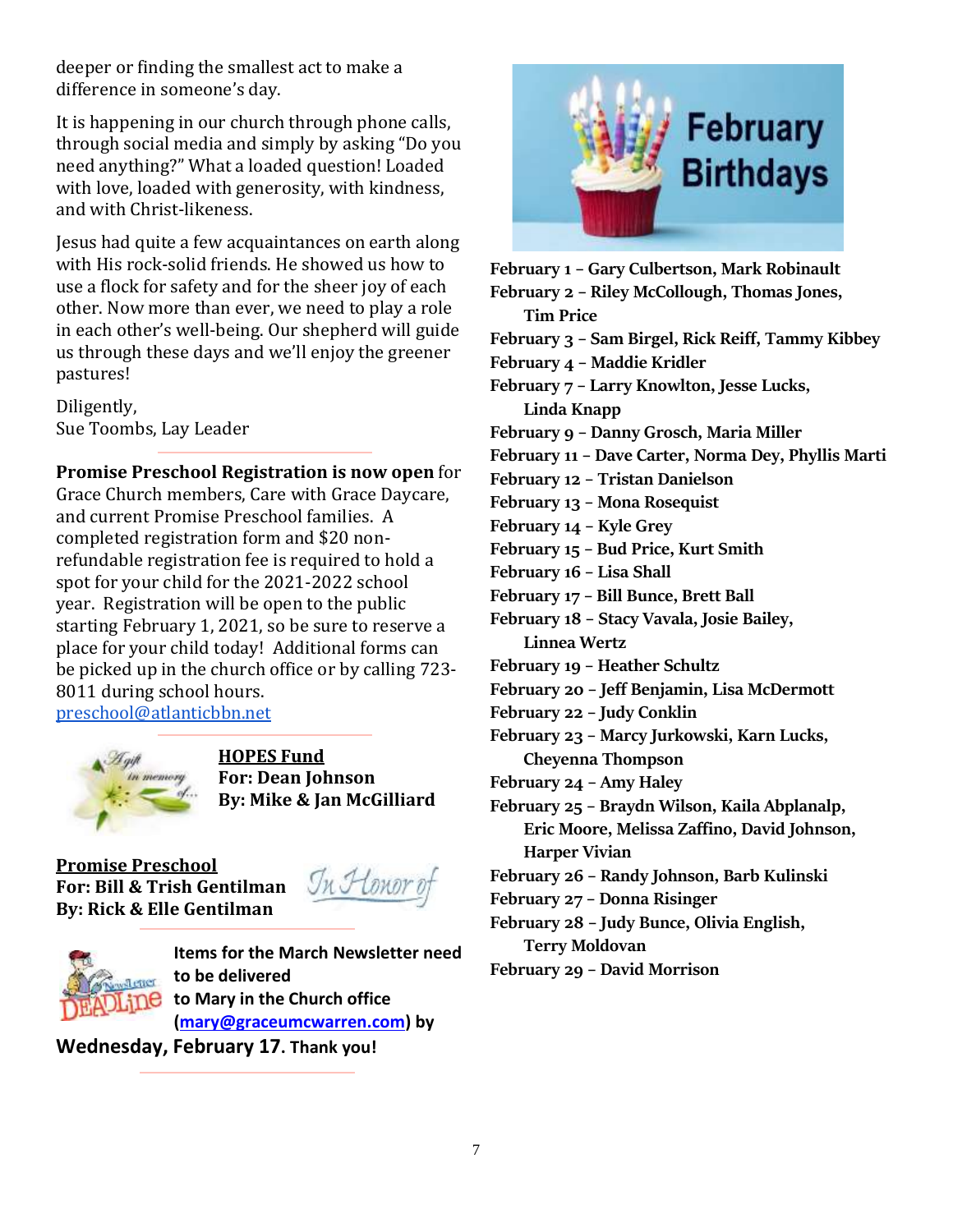deeper or finding the smallest act to make a difference in someone's day.

It is happening in our church through phone calls, through social media and simply by asking "Do you need anything?" What a loaded question! Loaded with love, loaded with generosity, with kindness, and with Christ-likeness.

Jesus had quite a few acquaintances on earth along with His rock-solid friends. He showed us how to use a flock for safety and for the sheer joy of each other. Now more than ever, we need to play a role in each other's well-being. Our shepherd will guide us through these days and we'll enjoy the greener pastures!

Diligently, Sue Toombs, Lay Leader

### **Promise Preschool Registration is now open** for

Grace Church members, Care with Grace Daycare, and current Promise Preschool families. A completed registration form and \$20 nonrefundable registration fee is required to hold a spot for your child for the 2021-2022 school year. Registration will be open to the public starting February 1, 2021, so be sure to reserve a place for your child today! Additional forms can be picked up in the church office or by calling 723- 8011 during school hours. [preschool@atlanticbbn.net](mailto:preschool@atlanticbbn.net)



**HOPES Fund For: Dean Johnson By: Mike & Jan McGilliard**

**Promise Preschool For: Bill & Trish Gentilman By: Rick & Elle Gentilman**

In Honor of



**Items for the March Newsletter need to be delivered to Mary in the Church office [\(mary@graceumcwarren.com\)](mailto:mary@graceumcwarren.com) by** 

**Wednesday, February 17. Thank you!**



**February 1 – Gary Culbertson, Mark Robinault February 2 – Riley McCollough, Thomas Jones, Tim Price February 3 – Sam Birgel, Rick Reiff, Tammy Kibbey February 4 – Maddie Kridler February 7 – Larry Knowlton, Jesse Lucks, Linda Knapp February 9 – Danny Grosch, Maria Miller February 11 – Dave Carter, Norma Dey, Phyllis Marti February 12 – Tristan Danielson February 13 – Mona Rosequist February 14 – Kyle Grey February 15 – Bud Price, Kurt Smith February 16 – Lisa Shall February 17 – Bill Bunce, Brett Ball February 18 – Stacy Vavala, Josie Bailey, Linnea Wertz February 19 – Heather Schultz February 20 – Jeff Benjamin, Lisa McDermott February 22 – Judy Conklin February 23 – Marcy Jurkowski, Karn Lucks, Cheyenna Thompson February 24 – Amy Haley February 25 – Braydn Wilson, Kaila Abplanalp, Eric Moore, Melissa Zaffino, David Johnson, Harper Vivian February 26 – Randy Johnson, Barb Kulinski February 27 – Donna Risinger February 28 – Judy Bunce, Olivia English, Terry Moldovan**

**February 29 – David Morrison**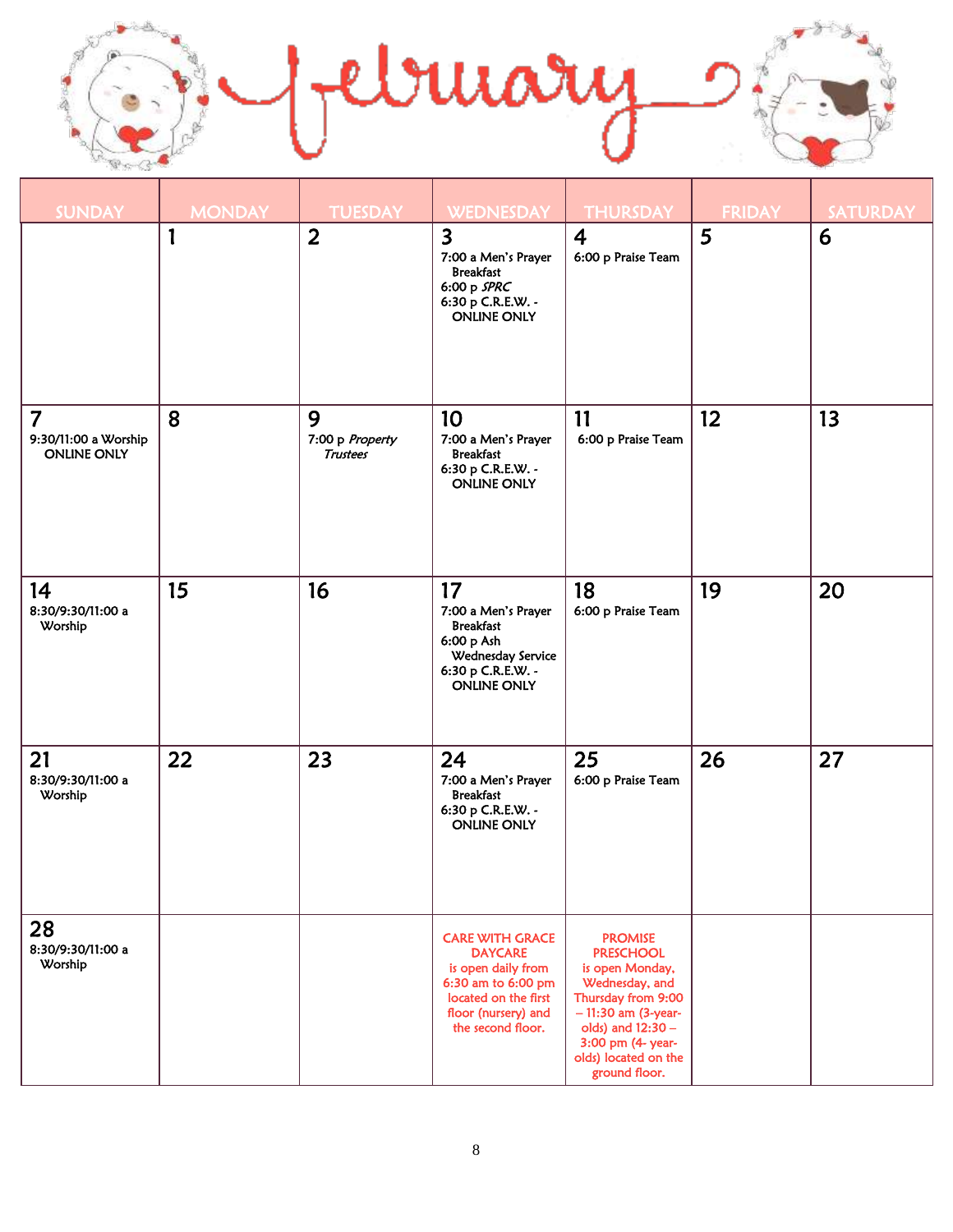

| <b>SUNDAY</b>                                                | <b>MONDAY</b> | <b>TUESDAY</b>                          | <b>WEDNESDAY</b>                                                                                                                                         | <b>THURSDAY</b>                                                                                                                                                                                          | <b>FRIDAY</b> | <b>SATURDAY</b> |
|--------------------------------------------------------------|---------------|-----------------------------------------|----------------------------------------------------------------------------------------------------------------------------------------------------------|----------------------------------------------------------------------------------------------------------------------------------------------------------------------------------------------------------|---------------|-----------------|
|                                                              | 1             | $\overline{2}$                          | $\overline{\mathbf{3}}$<br>7:00 a Men's Prayer<br><b>Breakfast</b><br>6:00 p SPRC<br>6:30 p C.R.E.W. -<br><b>ONLINE ONLY</b>                             | $\overline{\mathbf{4}}$<br>6:00 p Praise Team                                                                                                                                                            | 5             | 6               |
| $\overline{7}$<br>9:30/11:00 a Worship<br><b>ONLINE ONLY</b> | 8             | 9<br>7:00 p Property<br><b>Trustees</b> | 10<br>7:00 a Men's Prayer<br><b>Breakfast</b><br>6:30 p C.R.E.W. -<br><b>ONLINE ONLY</b>                                                                 | 11<br>6:00 p Praise Team                                                                                                                                                                                 | 12            | 13              |
| 14<br>8:30/9:30/11:00 a<br>Worship                           | 15            | 16                                      | 17<br>7:00 a Men's Prayer<br><b>Breakfast</b><br>6:00 p Ash<br>Wednesday Service<br>6:30 p C.R.E.W. -<br><b>ONLINE ONLY</b>                              | 18<br>6:00 p Praise Team                                                                                                                                                                                 | 19            | 20              |
| 21<br>8:30/9:30/11:00 a<br>Worship                           | 22            | 23                                      | 24<br>7:00 a Men's Prayer<br><b>Breakfast</b><br>6:30 p C.R.E.W. -<br><b>ONLINE ONLY</b>                                                                 | 25<br>6:00 p Praise Team                                                                                                                                                                                 | 26            | 27              |
| 28<br>8:30/9:30/11:00 a<br>Worship                           |               |                                         | <b>CARE WITH GRACE</b><br><b>DAYCARE</b><br>is open daily from<br>6:30 am to 6:00 pm<br>located on the first<br>floor (nursery) and<br>the second floor. | <b>PROMISE</b><br><b>PRESCHOOL</b><br>is open Monday,<br>Wednesday, and<br>Thursday from 9:00<br>$-11:30$ am (3-year-<br>olds) and 12:30 -<br>3:00 pm (4- year-<br>olds) located on the<br>ground floor. |               |                 |